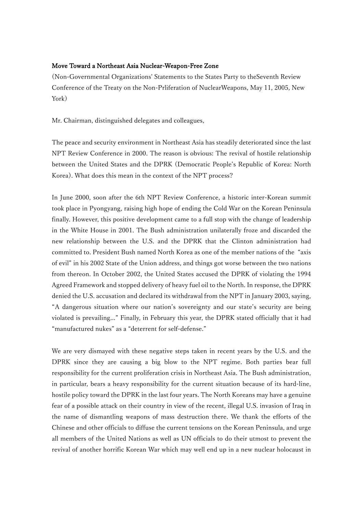## Move Toward a Northeast Asia Nuclear-Weapon-Free Zone

(Non-Governmental Organizations' Statements to the States Party to theSeventh Review Conference of the Treaty on the Non-Prliferation of NuclearWeapons, May 11, 2005, New York)

Mr. Chairman, distinguished delegates and colleagues,

The peace and security environment in Northeast Asia has steadily deteriorated since the last NPT Review Conference in 2000. The reason is obvious: The revival of hostile relationship between the United States and the DPRK (Democratic People's Republic of Korea: North Korea). What does this mean in the context of the NPT process?

In June 2000, soon after the 6th NPT Review Conference, a historic inter-Korean summit took place in Pyongyang, raising high hope of ending the Cold War on the Korean Peninsula finally. However, this positive development came to a full stop with the change of leadership in the White House in 2001. The Bush administration unilaterally froze and discarded the new relationship between the U.S. and the DPRK that the Clinton administration had committed to. President Bush named North Korea as one of the member nations of the "axis of evil" in his 2002 State of the Union address, and things got worse between the two nations from thereon. In October 2002, the United States accused the DPRK of violating the 1994 Agreed Framework and stopped delivery of heavy fuel oil to the North. In response, the DPRK denied the U.S. accusation and declared its withdrawal from the NPT in January 2003, saying, "A dangerous situation where our nation's sovereignty and our state's security are being violated is prevailing..." Finally, in February this year, the DPRK stated officially that it had "manufactured nukes" as a "deterrent for self-defense."

We are very dismayed with these negative steps taken in recent years by the U.S. and the DPRK since they are causing a big blow to the NPT regime. Both parties bear full responsibility for the current proliferation crisis in Northeast Asia. The Bush administration, in particular, bears a heavy responsibility for the current situation because of its hard-line, hostile policy toward the DPRK in the last four years. The North Koreans may have a genuine fear of a possible attack on their country in view of the recent, illegal U.S. invasion of Iraq in the name of dismantling weapons of mass destruction there. We thank the efforts of the Chinese and other officials to diffuse the current tensions on the Korean Peninsula, and urge all members of the United Nations as well as UN officials to do their utmost to prevent the revival of another horrific Korean War which may well end up in a new nuclear holocaust in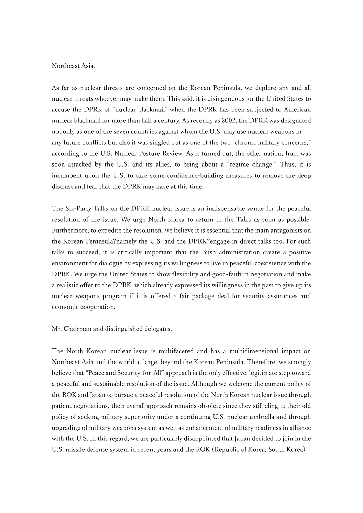## Northeast Asia.

As far as nuclear threats are concerned on the Korean Peninsula, we deplore any and all nuclear threats whoever may make them. This said, it is disingenuous for the United States to accuse the DPRK of "nuclear blackmail" when the DPRK has been subjected to American nuclear blackmail for more than half a century. As recently as 2002, the DPRK was designated not only as one of the seven countries against whom the U.S. may use nuclear weapons in any future conflicts but also it was singled out as one of the two "chronic military concerns," according to the U.S. Nuclear Posture Review. As it turned out, the other nation, Iraq, was soon attacked by the U.S. and its allies, to bring about a "regime change." Thus, it is incumbent upon the U.S. to take some confidence-building measures to remove the deep distrust and fear that the DPRK may have at this time.

The Six-Party Talks on the DPRK nuclear issue is an indispensable venue for the peaceful resolution of the issue. We urge North Korea to return to the Talks as soon as possible. Furthermore, to expedite the resolution, we believe it is essential that the main antagonists on the Korean Peninsula?namely the U.S. and the DPRK?engage in direct talks too. For such talks to succeed, it is critically important that the Bush administration create a positive environment for dialogue by expressing its willingness to live in peaceful coexistence with the DPRK. We urge the United States to show flexibility and good-faith in negotiation and make a realistic offer to the DPRK, which already expressed its willingness in the past to give up its nuclear weapons program if it is offered a fair package deal for security assurances and economic cooperation.

## Mr. Chairman and distinguished delegates,

The North Korean nuclear issue is multifaceted and has a multidimensional impact on Northeast Asia and the world at large, beyond the Korean Peninsula. Therefore, we strongly believe that "Peace and Security-for-All" approach is the only effective, legitimate step toward a peaceful and sustainable resolution of the issue. Although we welcome the current policy of the ROK and Japan to pursue a peaceful resolution of the North Korean nuclear issue through patient negotiations, their overall approach remains obsolete since they still cling to their old policy of seeking military superiority under a continuing U.S. nuclear umbrella and through upgrading of military weapons system as well as enhancement of military readiness in alliance with the U.S. In this regard, we are particularly disappointed that Japan decided to join in the U.S. missile defense system in recent years and the ROK (Republic of Korea: South Korea)